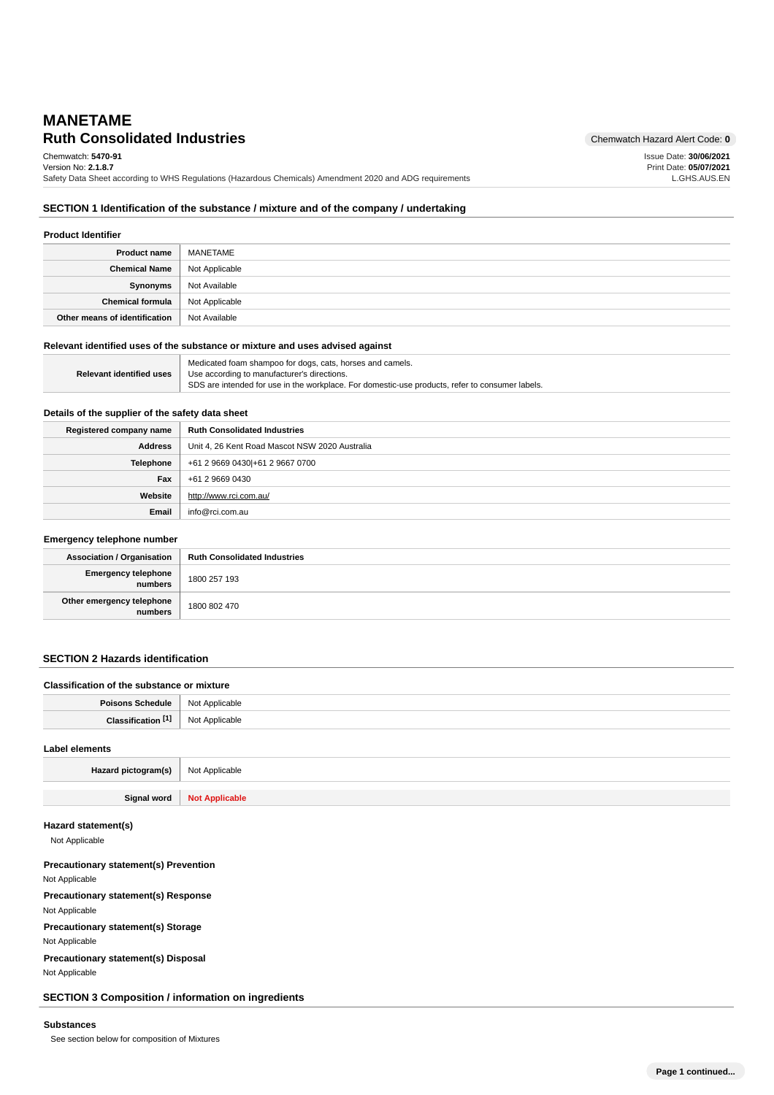# **Ruth Consolidated Industries** Chemwatch Hazard Alert Code: 0 **MANETAME**

Issue Date: **30/06/2021** Print Date: **05/07/2021** L.GHS.AUS.EN

Chemwatch: **5470-91** Version No: **2.1.8.7**

Safety Data Sheet according to WHS Regulations (Hazardous Chemicals) Amendment 2020 and ADG requirements

## **SECTION 1 Identification of the substance / mixture and of the company / undertaking**

| <b>Product Identifier</b>     |                |
|-------------------------------|----------------|
| <b>Product name</b>           | MANETAME       |
| <b>Chemical Name</b>          | Not Applicable |
| Synonyms                      | Not Available  |
| <b>Chemical formula</b>       | Not Applicable |
| Other means of identification | Not Available  |

#### **Relevant identified uses of the substance or mixture and uses advised against**

|                          | Medicated foam shampoo for dogs, cats, horses and camels.                                       |
|--------------------------|-------------------------------------------------------------------------------------------------|
| Relevant identified uses | Use according to manufacturer's directions.                                                     |
|                          | SDS are intended for use in the workplace. For domestic-use products, refer to consumer labels. |

## **Details of the supplier of the safety data sheet**

| Registered company name | <b>Ruth Consolidated Industries</b>            |
|-------------------------|------------------------------------------------|
| <b>Address</b>          | Unit 4, 26 Kent Road Mascot NSW 2020 Australia |
| <b>Telephone</b>        | +61 2 9669 0430 + 61 2 9667 0700               |
| Fax                     | +61 2 9669 0430                                |
| Website                 | http://www.rci.com.au/                         |
| Email                   | info@rci.com.au                                |

#### **Emergency telephone number**

| .                                      |                                     |
|----------------------------------------|-------------------------------------|
| <b>Association / Organisation</b>      | <b>Ruth Consolidated Industries</b> |
| Emergency telephone<br>numbers         | 1800 257 193                        |
| Other emergency telephone<br>  numbers | 1800 802 470                        |

## **SECTION 2 Hazards identification**

| Classification of the substance or mixture |                |
|--------------------------------------------|----------------|
| Poisons Schedule   Not Applicable          |                |
| <b>Classification</b> [1] Not Applicable   |                |
| Label elements                             |                |
| Hazard pictogram(s)                        | Not Applicable |

**Signal word Not Applicable**

### **Hazard statement(s)**

Not Applicable

**Precautionary statement(s) Prevention** Not Applicable **Precautionary statement(s) Response** Not Applicable **Precautionary statement(s) Storage** Not Applicable **Precautionary statement(s) Disposal** Not Applicable

**SECTION 3 Composition / information on ingredients**

### **Substances**

See section below for composition of Mixtures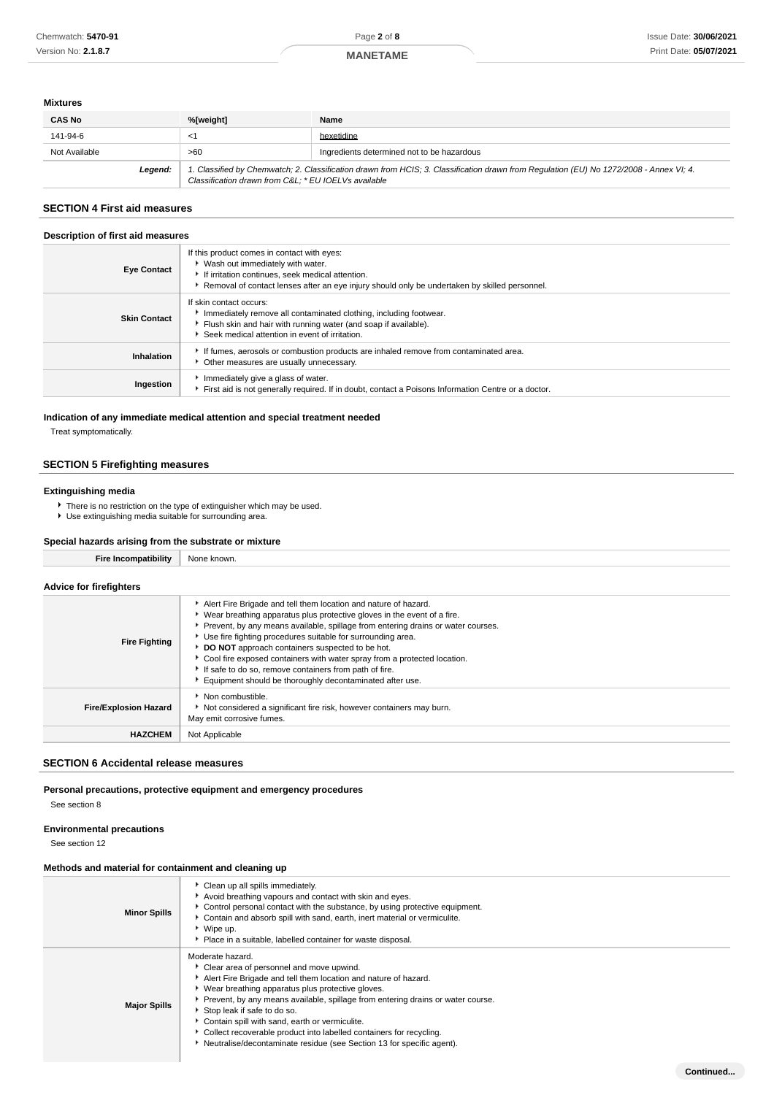## **MANETAME**

#### **Mixtures**

| <b>CAS No</b> | %[weight]                                           | Name                                                                                                                                    |
|---------------|-----------------------------------------------------|-----------------------------------------------------------------------------------------------------------------------------------------|
| 141-94-6      | $\leq$                                              | hexetidine                                                                                                                              |
| Not Available | >60                                                 | Ingredients determined not to be hazardous                                                                                              |
| Legend:       | Classification drawn from C&L * EU IOELVs available | 1. Classified by Chemwatch; 2. Classification drawn from HCIS; 3. Classification drawn from Regulation (EU) No 1272/2008 - Annex VI; 4. |

## **SECTION 4 First aid measures**

#### **Description of first aid measures**

| <b>Eye Contact</b>  | If this product comes in contact with eyes:<br>▶ Wash out immediately with water.<br>If irritation continues, seek medical attention.<br>Removal of contact lenses after an eye injury should only be undertaken by skilled personnel. |
|---------------------|----------------------------------------------------------------------------------------------------------------------------------------------------------------------------------------------------------------------------------------|
| <b>Skin Contact</b> | If skin contact occurs:<br>Inmediately remove all contaminated clothing, including footwear.<br>Flush skin and hair with running water (and soap if available).<br>Seek medical attention in event of irritation.                      |
| Inhalation          | If fumes, aerosols or combustion products are inhaled remove from contaminated area.<br>• Other measures are usually unnecessary.                                                                                                      |
| Ingestion           | Immediately give a glass of water.<br>First aid is not generally required. If in doubt, contact a Poisons Information Centre or a doctor.                                                                                              |

### **Indication of any immediate medical attention and special treatment needed**

Treat symptomatically.

## **SECTION 5 Firefighting measures**

#### **Extinguishing media**

There is no restriction on the type of extinguisher which may be used. Use extinguishing media suitable for surrounding area.

## **Special hazards arising from the substrate or mixture**

| opooldi hasal do dhomig homi tho odpotrato of mixtare |                                                                                                                                                                                                                                                                                                 |  |
|-------------------------------------------------------|-------------------------------------------------------------------------------------------------------------------------------------------------------------------------------------------------------------------------------------------------------------------------------------------------|--|
| <b>Fire Incompatibility</b>                           | None known.                                                                                                                                                                                                                                                                                     |  |
| <b>Advice for firefighters</b>                        |                                                                                                                                                                                                                                                                                                 |  |
|                                                       | Alert Fire Brigade and tell them location and nature of hazard.<br>▶ Wear breathing apparatus plus protective gloves in the event of a fire.<br>Prevent, by any means available, spillage from entering drains or water courses.<br>Use fire fighting procedures suitable for surrounding area. |  |

| <b>Fire Fighting</b>         | <u>ooo ilio lighting procedured buildere for builderighty drou.</u><br><b>DO NOT</b> approach containers suspected to be hot.<br>• Cool fire exposed containers with water spray from a protected location.<br>If safe to do so, remove containers from path of fire.<br>Equipment should be thoroughly decontaminated after use. |
|------------------------------|-----------------------------------------------------------------------------------------------------------------------------------------------------------------------------------------------------------------------------------------------------------------------------------------------------------------------------------|
| <b>Fire/Explosion Hazard</b> | Non combustible.<br>Not considered a significant fire risk, however containers may burn.<br>May emit corrosive fumes.                                                                                                                                                                                                             |
| <b>HAZCHEM</b>               | Not Applicable                                                                                                                                                                                                                                                                                                                    |
|                              |                                                                                                                                                                                                                                                                                                                                   |

## **SECTION 6 Accidental release measures**

## **Personal precautions, protective equipment and emergency procedures**

See section 8

# **Environmental precautions**

See section 12

## **Methods and material for containment and cleaning up**

| <b>Minor Spills</b> | Clean up all spills immediately.<br>Avoid breathing vapours and contact with skin and eyes.<br>► Control personal contact with the substance, by using protective equipment.<br>Contain and absorb spill with sand, earth, inert material or vermiculite.<br>▶ Wipe up.<br>• Place in a suitable, labelled container for waste disposal.                                                                                                                                                                    |
|---------------------|-------------------------------------------------------------------------------------------------------------------------------------------------------------------------------------------------------------------------------------------------------------------------------------------------------------------------------------------------------------------------------------------------------------------------------------------------------------------------------------------------------------|
| <b>Major Spills</b> | Moderate hazard.<br>Clear area of personnel and move upwind.<br>Alert Fire Brigade and tell them location and nature of hazard.<br>• Wear breathing apparatus plus protective gloves.<br>▶ Prevent, by any means available, spillage from entering drains or water course.<br>Stop leak if safe to do so.<br>Contain spill with sand, earth or vermiculite.<br>Collect recoverable product into labelled containers for recycling.<br>Neutralise/decontaminate residue (see Section 13 for specific agent). |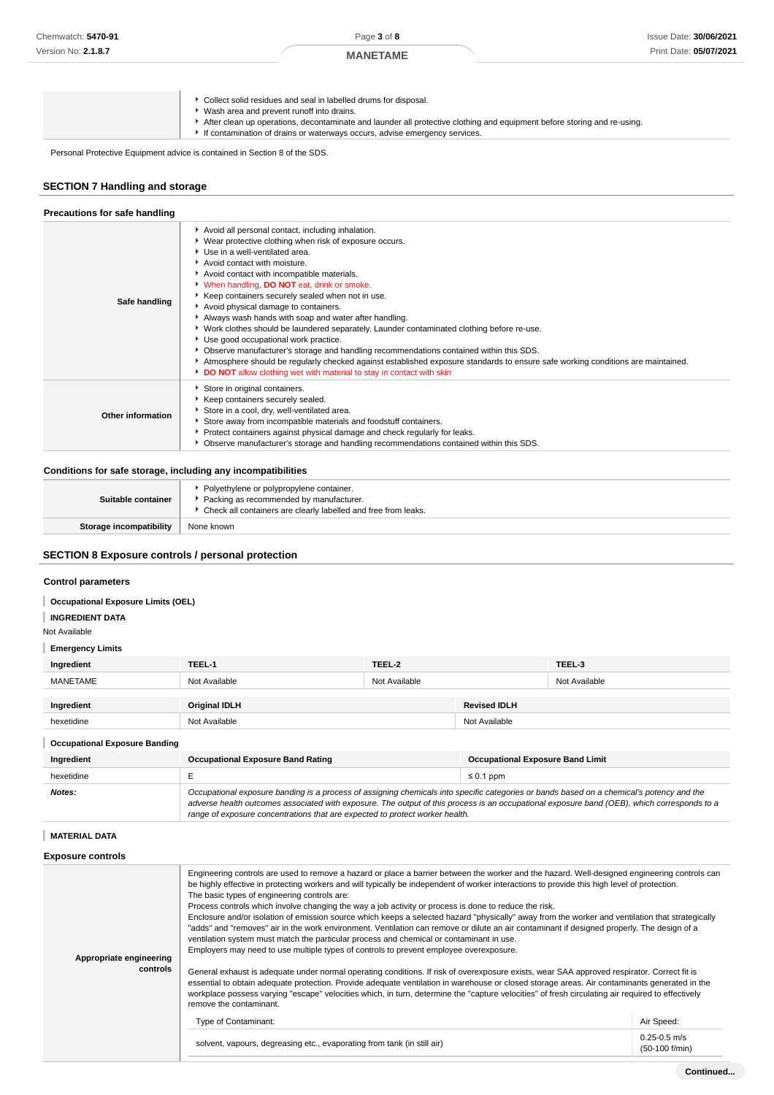**MANETAME**

| Collect solid residues and seal in labelled drums for disposal.<br>Wash area and prevent runoff into drains.<br>After clean up operations, decontaminate and launder all protective clothing and equipment before storing and re-using.<br>If contamination of drains or waterways occurs, advise emergency services. |
|-----------------------------------------------------------------------------------------------------------------------------------------------------------------------------------------------------------------------------------------------------------------------------------------------------------------------|
|-----------------------------------------------------------------------------------------------------------------------------------------------------------------------------------------------------------------------------------------------------------------------------------------------------------------------|

Personal Protective Equipment advice is contained in Section 8 of the SDS.

## **SECTION 7 Handling and storage**

| Precautions for safe handling |                                                                                                                                                                                                                                                                                                                                                                                                                                                                                                                                                                                                                                                                                                                                                                                                                                                                                  |
|-------------------------------|----------------------------------------------------------------------------------------------------------------------------------------------------------------------------------------------------------------------------------------------------------------------------------------------------------------------------------------------------------------------------------------------------------------------------------------------------------------------------------------------------------------------------------------------------------------------------------------------------------------------------------------------------------------------------------------------------------------------------------------------------------------------------------------------------------------------------------------------------------------------------------|
| Safe handling                 | Avoid all personal contact, including inhalation.<br>▶ Wear protective clothing when risk of exposure occurs.<br>Use in a well-ventilated area.<br>Avoid contact with moisture.<br>Avoid contact with incompatible materials.<br>When handling, DO NOT eat, drink or smoke.<br>▶ Keep containers securely sealed when not in use.<br>Avoid physical damage to containers.<br>Always wash hands with soap and water after handling.<br>▶ Work clothes should be laundered separately. Launder contaminated clothing before re-use.<br>Use good occupational work practice.<br>▶ Observe manufacturer's storage and handling recommendations contained within this SDS.<br>Atmosphere should be regularly checked against established exposure standards to ensure safe working conditions are maintained.<br>DO NOT allow clothing wet with material to stay in contact with skin |
| Other information             | Store in original containers.<br>Keep containers securely sealed.<br>Store in a cool, dry, well-ventilated area.<br>Store away from incompatible materials and foodstuff containers.<br>▶ Protect containers against physical damage and check regularly for leaks.<br>▶ Observe manufacturer's storage and handling recommendations contained within this SDS.                                                                                                                                                                                                                                                                                                                                                                                                                                                                                                                  |

## **Conditions for safe storage, including any incompatibilities**

| Suitable container      | • Polyethylene or polypropylene container.<br>Packing as recommended by manufacturer.<br>▶ Check all containers are clearly labelled and free from leaks. |
|-------------------------|-----------------------------------------------------------------------------------------------------------------------------------------------------------|
| Storage incompatibility | None known                                                                                                                                                |

# **SECTION 8 Exposure controls / personal protection**

## **Control parameters**

#### **Occupational Exposure Limits (OEL)**

## **INGREDIENT DATA**

#### Not Available

# **Emergency Limits**

| Ingredient                           | TEEL-1               | TEEL-2        |                     | TEEL-3        |
|--------------------------------------|----------------------|---------------|---------------------|---------------|
| <b>MANETAME</b>                      | Not Available        | Not Available |                     | Not Available |
|                                      |                      |               |                     |               |
| Ingredient                           | <b>Original IDLH</b> |               | <b>Revised IDLH</b> |               |
| hexetidine                           | Not Available        |               | Not Available       |               |
| <b>Occupational Exposure Banding</b> |                      |               |                     |               |

| Ingredient | <b>Occupational Exposure Band Rating</b>                                                                                                                                                                                                                                                                                                                                 | <b>Occupational Exposure Band Limit</b> |  |
|------------|--------------------------------------------------------------------------------------------------------------------------------------------------------------------------------------------------------------------------------------------------------------------------------------------------------------------------------------------------------------------------|-----------------------------------------|--|
| hexetidine |                                                                                                                                                                                                                                                                                                                                                                          | $\leq 0.1$ ppm                          |  |
| Notes:     | Occupational exposure banding is a process of assigning chemicals into specific categories or bands based on a chemical's potency and the<br>adverse health outcomes associated with exposure. The output of this process is an occupational exposure band (OEB), which corresponds to a<br>range of exposure concentrations that are expected to protect worker health. |                                         |  |

## **MATERIAL DATA**

## **Exposure controls**

| Appropriate engineering<br>controls | Engineering controls are used to remove a hazard or place a barrier between the worker and the hazard. Well-designed engineering controls can<br>be highly effective in protecting workers and will typically be independent of worker interactions to provide this high level of protection.<br>The basic types of engineering controls are:<br>Process controls which involve changing the way a job activity or process is done to reduce the risk.<br>Enclosure and/or isolation of emission source which keeps a selected hazard "physically" away from the worker and ventilation that strategically<br>"adds" and "removes" air in the work environment. Ventilation can remove or dilute an air contaminant if designed properly. The design of a<br>ventilation system must match the particular process and chemical or contaminant in use.<br>Employers may need to use multiple types of controls to prevent employee overexposure.<br>General exhaust is adequate under normal operating conditions. If risk of overexposure exists, wear SAA approved respirator. Correct fit is<br>essential to obtain adequate protection. Provide adequate ventilation in warehouse or closed storage areas. Air contaminants generated in the<br>workplace possess varying "escape" velocities which, in turn, determine the "capture velocities" of fresh circulating air required to effectively<br>remove the contaminant. |                                    |
|-------------------------------------|---------------------------------------------------------------------------------------------------------------------------------------------------------------------------------------------------------------------------------------------------------------------------------------------------------------------------------------------------------------------------------------------------------------------------------------------------------------------------------------------------------------------------------------------------------------------------------------------------------------------------------------------------------------------------------------------------------------------------------------------------------------------------------------------------------------------------------------------------------------------------------------------------------------------------------------------------------------------------------------------------------------------------------------------------------------------------------------------------------------------------------------------------------------------------------------------------------------------------------------------------------------------------------------------------------------------------------------------------------------------------------------------------------------------------------|------------------------------------|
|                                     | Type of Contaminant:                                                                                                                                                                                                                                                                                                                                                                                                                                                                                                                                                                                                                                                                                                                                                                                                                                                                                                                                                                                                                                                                                                                                                                                                                                                                                                                                                                                                            | Air Speed:                         |
|                                     | solvent, vapours, degreasing etc., evaporating from tank (in still air)                                                                                                                                                                                                                                                                                                                                                                                                                                                                                                                                                                                                                                                                                                                                                                                                                                                                                                                                                                                                                                                                                                                                                                                                                                                                                                                                                         | $0.25 - 0.5$ m/s<br>(50-100 f/min) |
|                                     |                                                                                                                                                                                                                                                                                                                                                                                                                                                                                                                                                                                                                                                                                                                                                                                                                                                                                                                                                                                                                                                                                                                                                                                                                                                                                                                                                                                                                                 |                                    |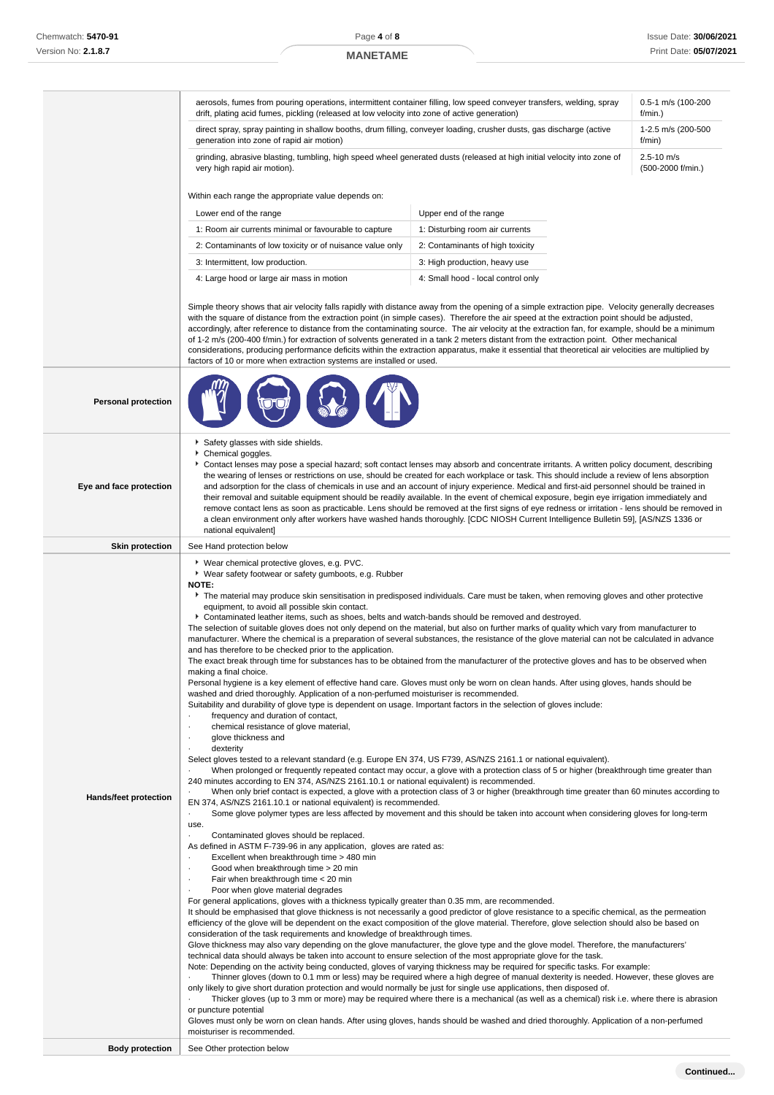|                            | aerosols, fumes from pouring operations, intermittent container filling, low speed conveyer transfers, welding, spray<br>0.5-1 m/s (100-200<br>drift, plating acid fumes, pickling (released at low velocity into zone of active generation)<br>f/min.)                                                                                                                                                                                                                                                                                                                                                                                                                                                                                                                                                                                                                                                                                                                                                                                                                                                                                                                                                                                                                                                                                                                                                                                                                                                                                                                                                                                                                                                                                                                                                                                                                                                                                                                                                                                                                                                                                                                                                                                                                                                                                                                                                                                                                                                                                                                                                                                                                                                                                                                                                                                                                                                                                                                                                                                                                                                                                                                                                                                                                                                                                                                                                                                                                                                                                                                                                                                                                                                                                                                                                                                                                                                                                                                                                               |                                    |                                     |  |
|----------------------------|-----------------------------------------------------------------------------------------------------------------------------------------------------------------------------------------------------------------------------------------------------------------------------------------------------------------------------------------------------------------------------------------------------------------------------------------------------------------------------------------------------------------------------------------------------------------------------------------------------------------------------------------------------------------------------------------------------------------------------------------------------------------------------------------------------------------------------------------------------------------------------------------------------------------------------------------------------------------------------------------------------------------------------------------------------------------------------------------------------------------------------------------------------------------------------------------------------------------------------------------------------------------------------------------------------------------------------------------------------------------------------------------------------------------------------------------------------------------------------------------------------------------------------------------------------------------------------------------------------------------------------------------------------------------------------------------------------------------------------------------------------------------------------------------------------------------------------------------------------------------------------------------------------------------------------------------------------------------------------------------------------------------------------------------------------------------------------------------------------------------------------------------------------------------------------------------------------------------------------------------------------------------------------------------------------------------------------------------------------------------------------------------------------------------------------------------------------------------------------------------------------------------------------------------------------------------------------------------------------------------------------------------------------------------------------------------------------------------------------------------------------------------------------------------------------------------------------------------------------------------------------------------------------------------------------------------------------------------------------------------------------------------------------------------------------------------------------------------------------------------------------------------------------------------------------------------------------------------------------------------------------------------------------------------------------------------------------------------------------------------------------------------------------------------------------------------------------------------------------------------------------------------------------------------------------------------------------------------------------------------------------------------------------------------------------------------------------------------------------------------------------------------------------------------------------------------------------------------------------------------------------------------------------------------------------------------------------------------------------------------------------------------------|------------------------------------|-------------------------------------|--|
|                            | direct spray, spray painting in shallow booths, drum filling, conveyer loading, crusher dusts, gas discharge (active<br>generation into zone of rapid air motion)                                                                                                                                                                                                                                                                                                                                                                                                                                                                                                                                                                                                                                                                                                                                                                                                                                                                                                                                                                                                                                                                                                                                                                                                                                                                                                                                                                                                                                                                                                                                                                                                                                                                                                                                                                                                                                                                                                                                                                                                                                                                                                                                                                                                                                                                                                                                                                                                                                                                                                                                                                                                                                                                                                                                                                                                                                                                                                                                                                                                                                                                                                                                                                                                                                                                                                                                                                                                                                                                                                                                                                                                                                                                                                                                                                                                                                                     | 1-2.5 m/s (200-500<br>f/min)       |                                     |  |
|                            | grinding, abrasive blasting, tumbling, high speed wheel generated dusts (released at high initial velocity into zone of<br>very high rapid air motion).                                                                                                                                                                                                                                                                                                                                                                                                                                                                                                                                                                                                                                                                                                                                                                                                                                                                                                                                                                                                                                                                                                                                                                                                                                                                                                                                                                                                                                                                                                                                                                                                                                                                                                                                                                                                                                                                                                                                                                                                                                                                                                                                                                                                                                                                                                                                                                                                                                                                                                                                                                                                                                                                                                                                                                                                                                                                                                                                                                                                                                                                                                                                                                                                                                                                                                                                                                                                                                                                                                                                                                                                                                                                                                                                                                                                                                                               |                                    | $2.5 - 10$ m/s<br>(500-2000 f/min.) |  |
|                            | Within each range the appropriate value depends on:                                                                                                                                                                                                                                                                                                                                                                                                                                                                                                                                                                                                                                                                                                                                                                                                                                                                                                                                                                                                                                                                                                                                                                                                                                                                                                                                                                                                                                                                                                                                                                                                                                                                                                                                                                                                                                                                                                                                                                                                                                                                                                                                                                                                                                                                                                                                                                                                                                                                                                                                                                                                                                                                                                                                                                                                                                                                                                                                                                                                                                                                                                                                                                                                                                                                                                                                                                                                                                                                                                                                                                                                                                                                                                                                                                                                                                                                                                                                                                   |                                    |                                     |  |
|                            | Lower end of the range                                                                                                                                                                                                                                                                                                                                                                                                                                                                                                                                                                                                                                                                                                                                                                                                                                                                                                                                                                                                                                                                                                                                                                                                                                                                                                                                                                                                                                                                                                                                                                                                                                                                                                                                                                                                                                                                                                                                                                                                                                                                                                                                                                                                                                                                                                                                                                                                                                                                                                                                                                                                                                                                                                                                                                                                                                                                                                                                                                                                                                                                                                                                                                                                                                                                                                                                                                                                                                                                                                                                                                                                                                                                                                                                                                                                                                                                                                                                                                                                | Upper end of the range             |                                     |  |
|                            | 1: Room air currents minimal or favourable to capture                                                                                                                                                                                                                                                                                                                                                                                                                                                                                                                                                                                                                                                                                                                                                                                                                                                                                                                                                                                                                                                                                                                                                                                                                                                                                                                                                                                                                                                                                                                                                                                                                                                                                                                                                                                                                                                                                                                                                                                                                                                                                                                                                                                                                                                                                                                                                                                                                                                                                                                                                                                                                                                                                                                                                                                                                                                                                                                                                                                                                                                                                                                                                                                                                                                                                                                                                                                                                                                                                                                                                                                                                                                                                                                                                                                                                                                                                                                                                                 | 1: Disturbing room air currents    |                                     |  |
|                            | 2: Contaminants of low toxicity or of nuisance value only                                                                                                                                                                                                                                                                                                                                                                                                                                                                                                                                                                                                                                                                                                                                                                                                                                                                                                                                                                                                                                                                                                                                                                                                                                                                                                                                                                                                                                                                                                                                                                                                                                                                                                                                                                                                                                                                                                                                                                                                                                                                                                                                                                                                                                                                                                                                                                                                                                                                                                                                                                                                                                                                                                                                                                                                                                                                                                                                                                                                                                                                                                                                                                                                                                                                                                                                                                                                                                                                                                                                                                                                                                                                                                                                                                                                                                                                                                                                                             | 2: Contaminants of high toxicity   |                                     |  |
|                            | 3: Intermittent, low production.                                                                                                                                                                                                                                                                                                                                                                                                                                                                                                                                                                                                                                                                                                                                                                                                                                                                                                                                                                                                                                                                                                                                                                                                                                                                                                                                                                                                                                                                                                                                                                                                                                                                                                                                                                                                                                                                                                                                                                                                                                                                                                                                                                                                                                                                                                                                                                                                                                                                                                                                                                                                                                                                                                                                                                                                                                                                                                                                                                                                                                                                                                                                                                                                                                                                                                                                                                                                                                                                                                                                                                                                                                                                                                                                                                                                                                                                                                                                                                                      | 3: High production, heavy use      |                                     |  |
|                            | 4: Large hood or large air mass in motion                                                                                                                                                                                                                                                                                                                                                                                                                                                                                                                                                                                                                                                                                                                                                                                                                                                                                                                                                                                                                                                                                                                                                                                                                                                                                                                                                                                                                                                                                                                                                                                                                                                                                                                                                                                                                                                                                                                                                                                                                                                                                                                                                                                                                                                                                                                                                                                                                                                                                                                                                                                                                                                                                                                                                                                                                                                                                                                                                                                                                                                                                                                                                                                                                                                                                                                                                                                                                                                                                                                                                                                                                                                                                                                                                                                                                                                                                                                                                                             | 4: Small hood - local control only |                                     |  |
|                            | Simple theory shows that air velocity falls rapidly with distance away from the opening of a simple extraction pipe. Velocity generally decreases<br>with the square of distance from the extraction point (in simple cases). Therefore the air speed at the extraction point should be adjusted,<br>accordingly, after reference to distance from the contaminating source. The air velocity at the extraction fan, for example, should be a minimum<br>of 1-2 m/s (200-400 f/min.) for extraction of solvents generated in a tank 2 meters distant from the extraction point. Other mechanical<br>considerations, producing performance deficits within the extraction apparatus, make it essential that theoretical air velocities are multiplied by<br>factors of 10 or more when extraction systems are installed or used.                                                                                                                                                                                                                                                                                                                                                                                                                                                                                                                                                                                                                                                                                                                                                                                                                                                                                                                                                                                                                                                                                                                                                                                                                                                                                                                                                                                                                                                                                                                                                                                                                                                                                                                                                                                                                                                                                                                                                                                                                                                                                                                                                                                                                                                                                                                                                                                                                                                                                                                                                                                                                                                                                                                                                                                                                                                                                                                                                                                                                                                                                                                                                                                       |                                    |                                     |  |
| <b>Personal protection</b> |                                                                                                                                                                                                                                                                                                                                                                                                                                                                                                                                                                                                                                                                                                                                                                                                                                                                                                                                                                                                                                                                                                                                                                                                                                                                                                                                                                                                                                                                                                                                                                                                                                                                                                                                                                                                                                                                                                                                                                                                                                                                                                                                                                                                                                                                                                                                                                                                                                                                                                                                                                                                                                                                                                                                                                                                                                                                                                                                                                                                                                                                                                                                                                                                                                                                                                                                                                                                                                                                                                                                                                                                                                                                                                                                                                                                                                                                                                                                                                                                                       |                                    |                                     |  |
| Eye and face protection    | Safety glasses with side shields.<br>Chemical goggles.<br>Contact lenses may pose a special hazard; soft contact lenses may absorb and concentrate irritants. A written policy document, describing<br>the wearing of lenses or restrictions on use, should be created for each workplace or task. This should include a review of lens absorption<br>and adsorption for the class of chemicals in use and an account of injury experience. Medical and first-aid personnel should be trained in<br>their removal and suitable equipment should be readily available. In the event of chemical exposure, begin eye irrigation immediately and<br>remove contact lens as soon as practicable. Lens should be removed at the first signs of eye redness or irritation - lens should be removed in<br>a clean environment only after workers have washed hands thoroughly. [CDC NIOSH Current Intelligence Bulletin 59], [AS/NZS 1336 or<br>national equivalent]                                                                                                                                                                                                                                                                                                                                                                                                                                                                                                                                                                                                                                                                                                                                                                                                                                                                                                                                                                                                                                                                                                                                                                                                                                                                                                                                                                                                                                                                                                                                                                                                                                                                                                                                                                                                                                                                                                                                                                                                                                                                                                                                                                                                                                                                                                                                                                                                                                                                                                                                                                                                                                                                                                                                                                                                                                                                                                                                                                                                                                                         |                                    |                                     |  |
| <b>Skin protection</b>     | See Hand protection below                                                                                                                                                                                                                                                                                                                                                                                                                                                                                                                                                                                                                                                                                                                                                                                                                                                                                                                                                                                                                                                                                                                                                                                                                                                                                                                                                                                                                                                                                                                                                                                                                                                                                                                                                                                                                                                                                                                                                                                                                                                                                                                                                                                                                                                                                                                                                                                                                                                                                                                                                                                                                                                                                                                                                                                                                                                                                                                                                                                                                                                                                                                                                                                                                                                                                                                                                                                                                                                                                                                                                                                                                                                                                                                                                                                                                                                                                                                                                                                             |                                    |                                     |  |
| Hands/feet protection      | ▶ Wear chemical protective gloves, e.g. PVC.<br>▶ Wear safety footwear or safety gumboots, e.g. Rubber<br><b>NOTE:</b><br>The material may produce skin sensitisation in predisposed individuals. Care must be taken, when removing gloves and other protective<br>equipment, to avoid all possible skin contact.<br>▶ Contaminated leather items, such as shoes, belts and watch-bands should be removed and destroyed.<br>The selection of suitable gloves does not only depend on the material, but also on further marks of quality which vary from manufacturer to<br>manufacturer. Where the chemical is a preparation of several substances, the resistance of the glove material can not be calculated in advance<br>and has therefore to be checked prior to the application.<br>The exact break through time for substances has to be obtained from the manufacturer of the protective gloves and has to be observed when<br>making a final choice.<br>Personal hygiene is a key element of effective hand care. Gloves must only be worn on clean hands. After using gloves, hands should be<br>washed and dried thoroughly. Application of a non-perfumed moisturiser is recommended.<br>Suitability and durability of glove type is dependent on usage. Important factors in the selection of gloves include:<br>frequency and duration of contact,<br>chemical resistance of glove material,<br>٠<br>glove thickness and<br>٠<br>dexterity<br>٠<br>Select gloves tested to a relevant standard (e.g. Europe EN 374, US F739, AS/NZS 2161.1 or national equivalent).<br>When prolonged or frequently repeated contact may occur, a glove with a protection class of 5 or higher (breakthrough time greater than<br>240 minutes according to EN 374, AS/NZS 2161.10.1 or national equivalent) is recommended.<br>When only brief contact is expected, a glove with a protection class of 3 or higher (breakthrough time greater than 60 minutes according to<br>EN 374, AS/NZS 2161.10.1 or national equivalent) is recommended.<br>$\cdot$<br>Some glove polymer types are less affected by movement and this should be taken into account when considering gloves for long-term<br>use.<br>Contaminated gloves should be replaced.<br>As defined in ASTM F-739-96 in any application, gloves are rated as:<br>Excellent when breakthrough time > 480 min<br>Good when breakthrough time > 20 min<br>÷,<br>Fair when breakthrough time < 20 min<br>$\cdot$<br>Poor when glove material degrades<br>For general applications, gloves with a thickness typically greater than 0.35 mm, are recommended.<br>It should be emphasised that glove thickness is not necessarily a good predictor of glove resistance to a specific chemical, as the permeation<br>efficiency of the glove will be dependent on the exact composition of the glove material. Therefore, glove selection should also be based on<br>consideration of the task requirements and knowledge of breakthrough times.<br>Glove thickness may also vary depending on the glove manufacturer, the glove type and the glove model. Therefore, the manufacturers'<br>technical data should always be taken into account to ensure selection of the most appropriate glove for the task.<br>Note: Depending on the activity being conducted, gloves of varying thickness may be required for specific tasks. For example:<br>Thinner gloves (down to 0.1 mm or less) may be required where a high degree of manual dexterity is needed. However, these gloves are<br>only likely to give short duration protection and would normally be just for single use applications, then disposed of.<br>Thicker gloves (up to 3 mm or more) may be required where there is a mechanical (as well as a chemical) risk i.e. where there is abrasion<br>or puncture potential<br>Gloves must only be worn on clean hands. After using gloves, hands should be washed and dried thoroughly. Application of a non-perfumed<br>moisturiser is recommended. |                                    |                                     |  |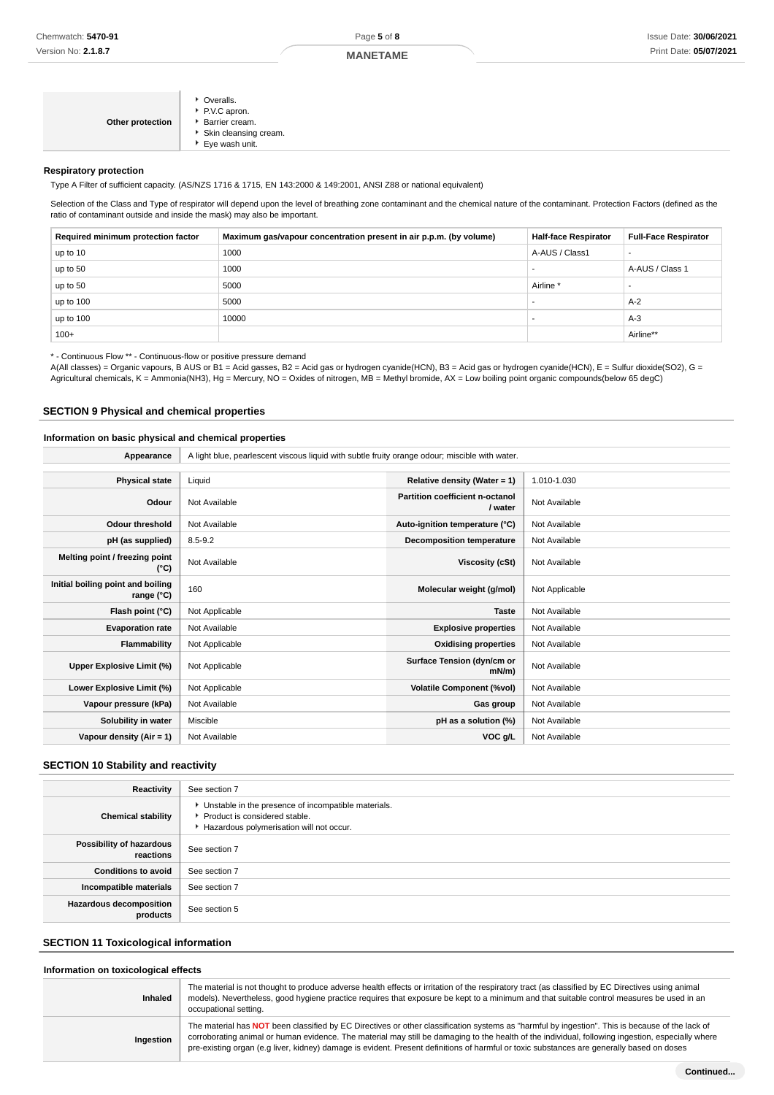#### **Respiratory protection**

Type A Filter of sufficient capacity. (AS/NZS 1716 & 1715, EN 143:2000 & 149:2001, ANSI Z88 or national equivalent)

Selection of the Class and Type of respirator will depend upon the level of breathing zone contaminant and the chemical nature of the contaminant. Protection Factors (defined as the ratio of contaminant outside and inside the mask) may also be important.

| Required minimum protection factor | Maximum gas/vapour concentration present in air p.p.m. (by volume) | <b>Half-face Respirator</b> | <b>Full-Face Respirator</b> |
|------------------------------------|--------------------------------------------------------------------|-----------------------------|-----------------------------|
| up to 10                           | 1000                                                               | A-AUS / Class1              |                             |
| up to 50                           | 1000                                                               |                             | A-AUS / Class 1             |
| up to 50                           | 5000                                                               | Airline <sup>'</sup>        | -                           |
| up to $100$                        | 5000                                                               |                             | $A-2$                       |
| up to 100                          | 10000                                                              |                             | $A-3$                       |
| $100+$                             |                                                                    |                             | Airline**                   |

\* - Continuous Flow \*\* - Continuous-flow or positive pressure demand

A(All classes) = Organic vapours, B AUS or B1 = Acid gasses, B2 = Acid gas or hydrogen cyanide(HCN), B3 = Acid gas or hydrogen cyanide(HCN), E = Sulfur dioxide(SO2), G = Agricultural chemicals, K = Ammonia(NH3), Hg = Mercury, NO = Oxides of nitrogen, MB = Methyl bromide, AX = Low boiling point organic compounds(below 65 degC)

#### **SECTION 9 Physical and chemical properties**

### **Information on basic physical and chemical properties**

| Appearance                                      | A light blue, pearlescent viscous liquid with subtle fruity orange odour; miscible with water. |                                            |                |
|-------------------------------------------------|------------------------------------------------------------------------------------------------|--------------------------------------------|----------------|
|                                                 |                                                                                                |                                            |                |
| <b>Physical state</b>                           | Liquid                                                                                         | Relative density (Water = 1)               | 1.010-1.030    |
| Odour                                           | Not Available                                                                                  | Partition coefficient n-octanol<br>/ water | Not Available  |
| <b>Odour threshold</b>                          | Not Available                                                                                  | Auto-ignition temperature (°C)             | Not Available  |
| pH (as supplied)                                | $8.5 - 9.2$                                                                                    | <b>Decomposition temperature</b>           | Not Available  |
| Melting point / freezing point<br>(°C)          | Not Available                                                                                  | Viscosity (cSt)                            | Not Available  |
| Initial boiling point and boiling<br>range (°C) | 160                                                                                            | Molecular weight (g/mol)                   | Not Applicable |
| Flash point (°C)                                | Not Applicable                                                                                 | <b>Taste</b>                               | Not Available  |
| <b>Evaporation rate</b>                         | Not Available                                                                                  | <b>Explosive properties</b>                | Not Available  |
| Flammability                                    | Not Applicable                                                                                 | <b>Oxidising properties</b>                | Not Available  |
| Upper Explosive Limit (%)                       | Not Applicable                                                                                 | Surface Tension (dyn/cm or<br>$mN/m$ )     | Not Available  |
| Lower Explosive Limit (%)                       | Not Applicable                                                                                 | <b>Volatile Component (%vol)</b>           | Not Available  |
| Vapour pressure (kPa)                           | Not Available                                                                                  | Gas group                                  | Not Available  |
| Solubility in water                             | Miscible                                                                                       | pH as a solution (%)                       | Not Available  |
| Vapour density $(Air = 1)$                      | Not Available                                                                                  | VOC g/L                                    | Not Available  |

#### **SECTION 10 Stability and reactivity**

| Reactivity                            | See section 7                                                                                                                      |
|---------------------------------------|------------------------------------------------------------------------------------------------------------------------------------|
| <b>Chemical stability</b>             | Unstable in the presence of incompatible materials.<br>▶ Product is considered stable.<br>Hazardous polymerisation will not occur. |
| Possibility of hazardous<br>reactions | See section 7                                                                                                                      |
| <b>Conditions to avoid</b>            | See section 7                                                                                                                      |
| Incompatible materials                | See section 7                                                                                                                      |
| Hazardous decomposition<br>products   | See section 5                                                                                                                      |

## **SECTION 11 Toxicological information**

#### **Information on toxicological effects**

| Inhaled   | The material is not thought to produce adverse health effects or irritation of the respiratory tract (as classified by EC Directives using animal<br>models). Nevertheless, good hygiene practice requires that exposure be kept to a minimum and that suitable control measures be used in an<br>occupational setting.                                                                                                                           |
|-----------|---------------------------------------------------------------------------------------------------------------------------------------------------------------------------------------------------------------------------------------------------------------------------------------------------------------------------------------------------------------------------------------------------------------------------------------------------|
| Ingestion | The material has NOT been classified by EC Directives or other classification systems as "harmful by ingestion". This is because of the lack of<br>corroborating animal or human evidence. The material may still be damaging to the health of the individual, following ingestion, especially where<br>pre-existing organ (e.g liver, kidney) damage is evident. Present definitions of harmful or toxic substances are generally based on doses |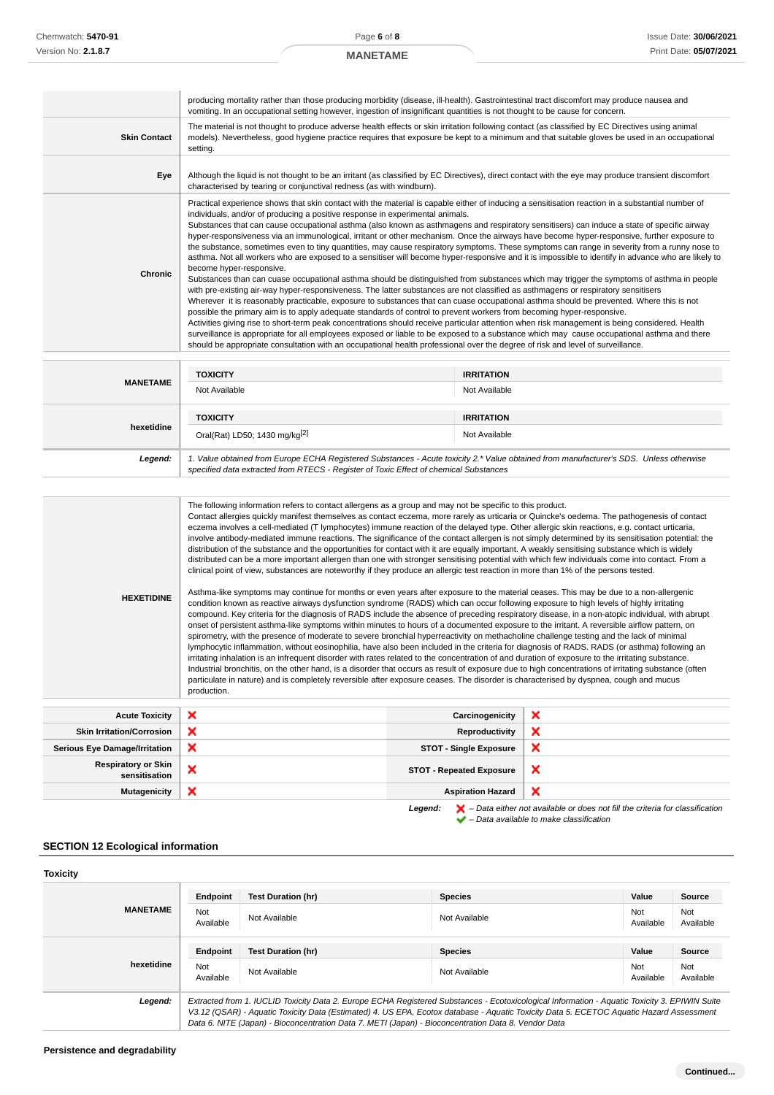### **MANETAME**

|                     | producing mortality rather than those producing morbidity (disease, ill-health). Gastrointestinal tract discomfort may produce nausea and<br>vomiting. In an occupational setting however, ingestion of insignificant quantities is not thought to be cause for concern.                                                                                                                                                                                                                                                                                                                                                                                                                                                                                                                                                                                                                                                                                                                                                                                                                                                                                                                                                                                                                                                                                                                                                                                                                                                                                                                                                                                                                                                                                                                                                                             |
|---------------------|------------------------------------------------------------------------------------------------------------------------------------------------------------------------------------------------------------------------------------------------------------------------------------------------------------------------------------------------------------------------------------------------------------------------------------------------------------------------------------------------------------------------------------------------------------------------------------------------------------------------------------------------------------------------------------------------------------------------------------------------------------------------------------------------------------------------------------------------------------------------------------------------------------------------------------------------------------------------------------------------------------------------------------------------------------------------------------------------------------------------------------------------------------------------------------------------------------------------------------------------------------------------------------------------------------------------------------------------------------------------------------------------------------------------------------------------------------------------------------------------------------------------------------------------------------------------------------------------------------------------------------------------------------------------------------------------------------------------------------------------------------------------------------------------------------------------------------------------------|
| <b>Skin Contact</b> | The material is not thought to produce adverse health effects or skin irritation following contact (as classified by EC Directives using animal<br>models). Nevertheless, good hygiene practice requires that exposure be kept to a minimum and that suitable gloves be used in an occupational<br>setting.                                                                                                                                                                                                                                                                                                                                                                                                                                                                                                                                                                                                                                                                                                                                                                                                                                                                                                                                                                                                                                                                                                                                                                                                                                                                                                                                                                                                                                                                                                                                          |
| Eye                 | Although the liquid is not thought to be an irritant (as classified by EC Directives), direct contact with the eye may produce transient discomfort<br>characterised by tearing or conjunctival redness (as with windburn).                                                                                                                                                                                                                                                                                                                                                                                                                                                                                                                                                                                                                                                                                                                                                                                                                                                                                                                                                                                                                                                                                                                                                                                                                                                                                                                                                                                                                                                                                                                                                                                                                          |
| Chronic             | Practical experience shows that skin contact with the material is capable either of inducing a sensitisation reaction in a substantial number of<br>individuals, and/or of producing a positive response in experimental animals.<br>Substances that can cause occupational asthma (also known as asthmagens and respiratory sensitisers) can induce a state of specific airway<br>hyper-responsiveness via an immunological, irritant or other mechanism. Once the airways have become hyper-responsive, further exposure to<br>the substance, sometimes even to tiny quantities, may cause respiratory symptoms. These symptoms can range in severity from a runny nose to<br>asthma. Not all workers who are exposed to a sensitiser will become hyper-responsive and it is impossible to identify in advance who are likely to<br>become hyper-responsive.<br>Substances than can cuase occupational asthma should be distinguished from substances which may trigger the symptoms of asthma in people<br>with pre-existing air-way hyper-responsiveness. The latter substances are not classified as asthmagens or respiratory sensitisers<br>Wherever it is reasonably practicable, exposure to substances that can cuase occupational asthma should be prevented. Where this is not<br>possible the primary aim is to apply adequate standards of control to prevent workers from becoming hyper-responsive.<br>Activities giving rise to short-term peak concentrations should receive particular attention when risk management is being considered. Health<br>surveillance is appropriate for all employees exposed or liable to be exposed to a substance which may cause occupational asthma and there<br>should be appropriate consultation with an occupational health professional over the degree of risk and level of surveillance. |
|                     |                                                                                                                                                                                                                                                                                                                                                                                                                                                                                                                                                                                                                                                                                                                                                                                                                                                                                                                                                                                                                                                                                                                                                                                                                                                                                                                                                                                                                                                                                                                                                                                                                                                                                                                                                                                                                                                      |

| <b>MANETAME</b> | <b>TOXICITY</b>                                                                                                                                                                                                                 | <b>IRRITATION</b> |  |
|-----------------|---------------------------------------------------------------------------------------------------------------------------------------------------------------------------------------------------------------------------------|-------------------|--|
|                 | Not Available                                                                                                                                                                                                                   | Not Available     |  |
|                 | <b>TOXICITY</b>                                                                                                                                                                                                                 | <b>IRRITATION</b> |  |
| hexetidine      | Oral(Rat) LD50; 1430 mg/kg <sup>[2]</sup>                                                                                                                                                                                       | Not Available     |  |
| Legend:         | 1. Value obtained from Europe ECHA Registered Substances - Acute toxicity 2.* Value obtained from manufacturer's SDS. Unless otherwise<br>specified data extracted from RTECS - Register of Toxic Effect of chemical Substances |                   |  |

| <b>HEXETIDINE</b>                           | The following information refers to contact allergens as a group and may not be specific to this product.<br>Contact allergies quickly manifest themselves as contact eczema, more rarely as urticaria or Quincke's oedema. The pathogenesis of contact<br>eczema involves a cell-mediated (T lymphocytes) immune reaction of the delayed type. Other allergic skin reactions, e.g. contact urticaria,<br>involve antibody-mediated immune reactions. The significance of the contact allergen is not simply determined by its sensitisation potential: the<br>distribution of the substance and the opportunities for contact with it are equally important. A weakly sensitising substance which is widely<br>distributed can be a more important allergen than one with stronger sensitising potential with which few individuals come into contact. From a<br>clinical point of view, substances are noteworthy if they produce an allergic test reaction in more than 1% of the persons tested.<br>Asthma-like symptoms may continue for months or even years after exposure to the material ceases. This may be due to a non-allergenic<br>condition known as reactive airways dysfunction syndrome (RADS) which can occur following exposure to high levels of highly irritating<br>compound. Key criteria for the diagnosis of RADS include the absence of preceding respiratory disease, in a non-atopic individual, with abrupt<br>onset of persistent asthma-like symptoms within minutes to hours of a documented exposure to the irritant. A reversible airflow pattern, on<br>spirometry, with the presence of moderate to severe bronchial hyperreactivity on methacholine challenge testing and the lack of minimal<br>lymphocytic inflammation, without eosinophilia, have also been included in the criteria for diagnosis of RADS. RADS (or asthma) following an<br>irritating inhalation is an infrequent disorder with rates related to the concentration of and duration of exposure to the irritating substance.<br>Industrial bronchitis, on the other hand, is a disorder that occurs as result of exposure due to high concentrations of irritating substance (often<br>particulate in nature) and is completely reversible after exposure ceases. The disorder is characterised by dyspnea, cough and mucus<br>production. |                                 |   |
|---------------------------------------------|-------------------------------------------------------------------------------------------------------------------------------------------------------------------------------------------------------------------------------------------------------------------------------------------------------------------------------------------------------------------------------------------------------------------------------------------------------------------------------------------------------------------------------------------------------------------------------------------------------------------------------------------------------------------------------------------------------------------------------------------------------------------------------------------------------------------------------------------------------------------------------------------------------------------------------------------------------------------------------------------------------------------------------------------------------------------------------------------------------------------------------------------------------------------------------------------------------------------------------------------------------------------------------------------------------------------------------------------------------------------------------------------------------------------------------------------------------------------------------------------------------------------------------------------------------------------------------------------------------------------------------------------------------------------------------------------------------------------------------------------------------------------------------------------------------------------------------------------------------------------------------------------------------------------------------------------------------------------------------------------------------------------------------------------------------------------------------------------------------------------------------------------------------------------------------------------------------------------------------------------------------------------------------------------------------------------------------------------------------|---------------------------------|---|
| <b>Acute Toxicity</b>                       | ×                                                                                                                                                                                                                                                                                                                                                                                                                                                                                                                                                                                                                                                                                                                                                                                                                                                                                                                                                                                                                                                                                                                                                                                                                                                                                                                                                                                                                                                                                                                                                                                                                                                                                                                                                                                                                                                                                                                                                                                                                                                                                                                                                                                                                                                                                                                                                     | Carcinogenicity                 | × |
| <b>Skin Irritation/Corrosion</b>            | ×                                                                                                                                                                                                                                                                                                                                                                                                                                                                                                                                                                                                                                                                                                                                                                                                                                                                                                                                                                                                                                                                                                                                                                                                                                                                                                                                                                                                                                                                                                                                                                                                                                                                                                                                                                                                                                                                                                                                                                                                                                                                                                                                                                                                                                                                                                                                                     | Reproductivity                  | × |
| <b>Serious Eye Damage/Irritation</b>        | ×                                                                                                                                                                                                                                                                                                                                                                                                                                                                                                                                                                                                                                                                                                                                                                                                                                                                                                                                                                                                                                                                                                                                                                                                                                                                                                                                                                                                                                                                                                                                                                                                                                                                                                                                                                                                                                                                                                                                                                                                                                                                                                                                                                                                                                                                                                                                                     | <b>STOT - Single Exposure</b>   | × |
| <b>Respiratory or Skin</b><br>sensitisation | ×                                                                                                                                                                                                                                                                                                                                                                                                                                                                                                                                                                                                                                                                                                                                                                                                                                                                                                                                                                                                                                                                                                                                                                                                                                                                                                                                                                                                                                                                                                                                                                                                                                                                                                                                                                                                                                                                                                                                                                                                                                                                                                                                                                                                                                                                                                                                                     | <b>STOT - Repeated Exposure</b> | × |
| <b>Mutagenicity</b>                         | ×                                                                                                                                                                                                                                                                                                                                                                                                                                                                                                                                                                                                                                                                                                                                                                                                                                                                                                                                                                                                                                                                                                                                                                                                                                                                                                                                                                                                                                                                                                                                                                                                                                                                                                                                                                                                                                                                                                                                                                                                                                                                                                                                                                                                                                                                                                                                                     | <b>Aspiration Hazard</b>        | × |

**Legend:**  $\mathbf{X}$  – Data either not available or does not fill the criteria for classification – Data available to make classification

# **SECTION 12 Ecological information**

| <b>Toxicity</b> |                  |                                                                                                                                                                                                                                                                                                                                                                                                 |                |                  |                  |
|-----------------|------------------|-------------------------------------------------------------------------------------------------------------------------------------------------------------------------------------------------------------------------------------------------------------------------------------------------------------------------------------------------------------------------------------------------|----------------|------------------|------------------|
| <b>MANETAME</b> | Endpoint         | <b>Test Duration (hr)</b>                                                                                                                                                                                                                                                                                                                                                                       | <b>Species</b> | Value            | Source           |
|                 | Not<br>Available | Not Available                                                                                                                                                                                                                                                                                                                                                                                   | Not Available  | Not<br>Available | Not<br>Available |
|                 | Endpoint         | <b>Test Duration (hr)</b>                                                                                                                                                                                                                                                                                                                                                                       | <b>Species</b> | Value            | Source           |
| hexetidine      | Not<br>Available | Not Available                                                                                                                                                                                                                                                                                                                                                                                   | Not Available  | Not<br>Available | Not<br>Available |
| Legend:         |                  | Extracted from 1. IUCLID Toxicity Data 2. Europe ECHA Registered Substances - Ecotoxicological Information - Aquatic Toxicity 3. EPIWIN Suite<br>V3.12 (QSAR) - Aquatic Toxicity Data (Estimated) 4. US EPA, Ecotox database - Aquatic Toxicity Data 5. ECETOC Aquatic Hazard Assessment<br>Data 6. NITE (Japan) - Bioconcentration Data 7. METI (Japan) - Bioconcentration Data 8. Vendor Data |                |                  |                  |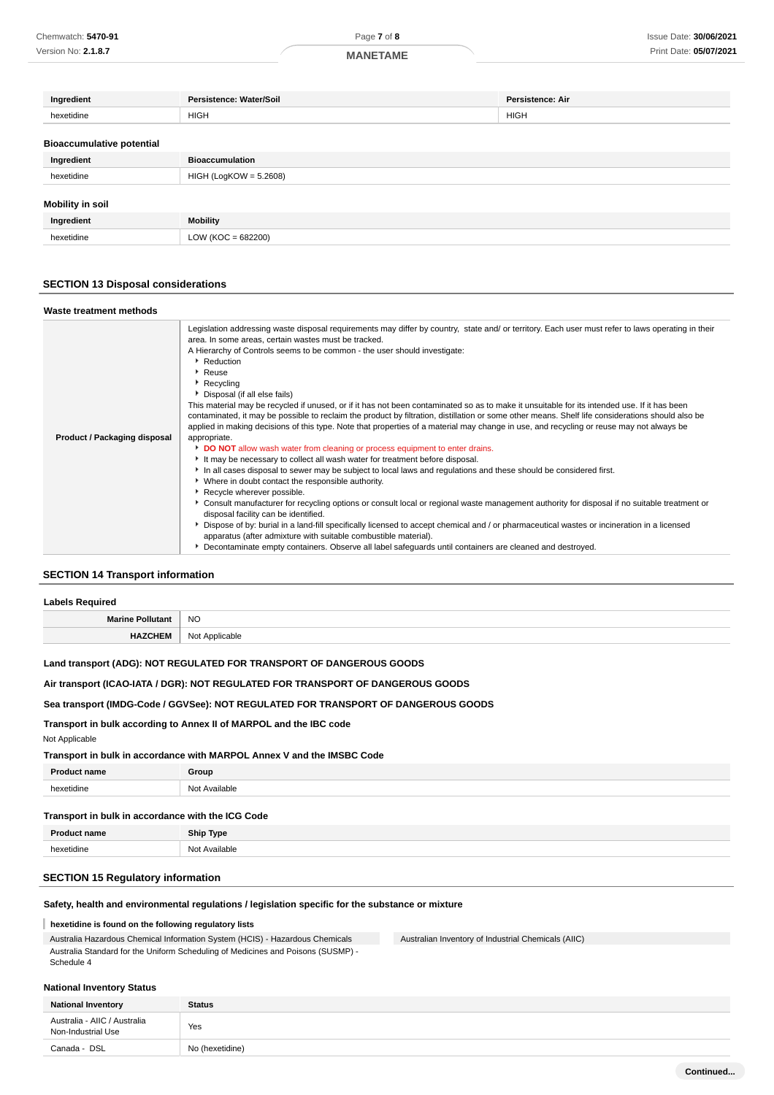| Ingredient                       | Persistence: Water/Soil  | Persistence: Air |
|----------------------------------|--------------------------|------------------|
| hexetidine                       | <b>HIGH</b>              | <b>HIGH</b>      |
| <b>Bioaccumulative potential</b> |                          |                  |
| Ingredient                       | <b>Bioaccumulation</b>   |                  |
| hexetidine                       | $HIGH (LogKOW = 5.2608)$ |                  |
| Mobility in soil                 |                          |                  |
| Ingredient                       | <b>Mobility</b>          |                  |
| hexetidine                       | $LOW (KOC = 682200)$     |                  |
|                                  |                          |                  |

## **SECTION 13 Disposal considerations**

| Waste treatment methods      |                                                                                                                                                                                                               |
|------------------------------|---------------------------------------------------------------------------------------------------------------------------------------------------------------------------------------------------------------|
|                              | Legislation addressing waste disposal requirements may differ by country, state and/ or territory. Each user must refer to laws operating in their<br>area. In some areas, certain wastes must be tracked.    |
|                              | A Hierarchy of Controls seems to be common - the user should investigate:                                                                                                                                     |
|                              | Reduction                                                                                                                                                                                                     |
|                              | Reuse                                                                                                                                                                                                         |
|                              | $\blacktriangleright$ Recycling                                                                                                                                                                               |
|                              | Disposal (if all else fails)                                                                                                                                                                                  |
|                              | This material may be recycled if unused, or if it has not been contaminated so as to make it unsuitable for its intended use. If it has been                                                                  |
|                              | contaminated, it may be possible to reclaim the product by filtration, distillation or some other means. Shelf life considerations should also be                                                             |
|                              | applied in making decisions of this type. Note that properties of a material may change in use, and recycling or reuse may not always be                                                                      |
| Product / Packaging disposal | appropriate.                                                                                                                                                                                                  |
|                              | DO NOT allow wash water from cleaning or process equipment to enter drains.                                                                                                                                   |
|                              | It may be necessary to collect all wash water for treatment before disposal.                                                                                                                                  |
|                              | In all cases disposal to sewer may be subject to local laws and regulations and these should be considered first.                                                                                             |
|                              | • Where in doubt contact the responsible authority.                                                                                                                                                           |
|                              | Recycle wherever possible.                                                                                                                                                                                    |
|                              | ▶ Consult manufacturer for recycling options or consult local or regional waste management authority for disposal if no suitable treatment or                                                                 |
|                              | disposal facility can be identified.                                                                                                                                                                          |
|                              | Dispose of by: burial in a land-fill specifically licensed to accept chemical and / or pharmaceutical wastes or incineration in a licensed<br>apparatus (after admixture with suitable combustible material). |
|                              | Decontaminate empty containers. Observe all label safeguards until containers are cleaned and destroyed.                                                                                                      |

## **SECTION 14 Transport information**

| <b>Labels Required</b>  |                                   |  |
|-------------------------|-----------------------------------|--|
| <b>Marine Pollutant</b> | <b>NO</b>                         |  |
| пм.                     | $N \cap$<br>: Annlicable<br>11011 |  |

## **Land transport (ADG): NOT REGULATED FOR TRANSPORT OF DANGEROUS GOODS**

## **Air transport (ICAO-IATA / DGR): NOT REGULATED FOR TRANSPORT OF DANGEROUS GOODS**

### **Sea transport (IMDG-Code / GGVSee): NOT REGULATED FOR TRANSPORT OF DANGEROUS GOODS**

# **Transport in bulk according to Annex II of MARPOL and the IBC code**

#### Not Applicable

#### **Transport in bulk in accordance with MARPOL Annex V and the IMSBC Code**

| Drou            | ∩r∩un                |
|-----------------|----------------------|
| hexetidine<br>. | 10<br>≅≌⊴ilable<br>. |

#### **Transport in bulk in accordance with the ICG Code**

| о.<br>name | <b>Ship Type</b>    |
|------------|---------------------|
| hovotidine | Available<br>$\sim$ |
|            |                     |

# **SECTION 15 Regulatory information**

#### **Safety, health and environmental regulations / legislation specific for the substance or mixture**

#### **hexetidine is found on the following regulatory lists**

Australia Hazardous Chemical Information System (HCIS) - Hazardous Chemicals Australia Standard for the Uniform Scheduling of Medicines and Poisons (SUSMP) - Schedule 4

Australian Inventory of Industrial Chemicals (AIIC)

#### **National Inventory Status**

| <b>National Inventory</b>                          | <b>Status</b>   |
|----------------------------------------------------|-----------------|
| Australia - AIIC / Australia<br>Non-Industrial Use | Yes             |
| Canada - DSL                                       | No (hexetidine) |